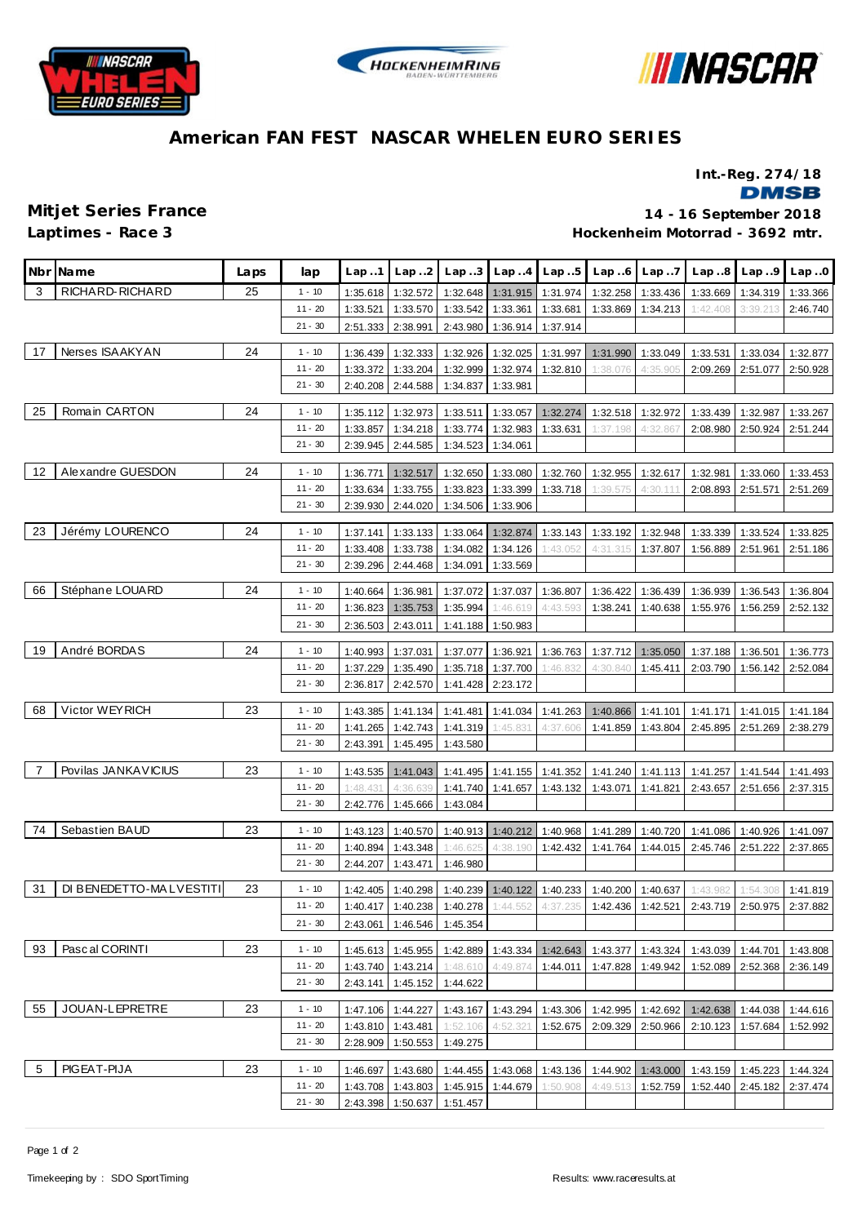





## **American FAN FEST NASCAR WHELEN EURO SERIES**

**Int.-Reg. 274/18**

**DMSB** 

**Laptimes - Race 3**

**Mitjet Series France 14 - 16 September 2018 Hockenheim Motorrad - 3692 mtr.**

| RICHARD-RICHARD<br>3<br>25<br>$1 - 10$<br>1:35.618<br>1:32.572<br>1:32.648<br>1:31.915<br>1:31.974<br>1:32.258<br>1:33.436<br>1:33.669<br>1:34.319<br>1:33.366<br>$11 - 20$<br>1:33.521<br>1:33.570<br>1:33.542<br>1:33.361<br>1:33.681<br>1:33.869<br>1:34.213<br>1:42.408<br>2:46.740<br>3:39.213<br>$21 - 30$<br>2:51.333<br>2:38.991<br>2:43.980<br>1:36.914<br>1:37.914<br>Nerses ISAAKYAN<br>24<br>17<br>$1 - 10$<br>1:32.926<br>1:36.439<br>1:32.333<br>1:32.025<br>1:31.997<br>1:31.990<br>1:33.049<br>1:33.531<br>1:33.034<br>1:32.877<br>$11 - 20$<br>1:32.999<br>1:32.974<br>2:09.269<br>2:51.077<br>1:33.372<br>1:33.204<br>1:32.810<br>1:38.076<br>4:35.905<br>2:50.928<br>$21 - 30$<br>2:40.208<br>2:44.588<br>1:34.837<br>1:33.981<br>25<br>Romain CARTON<br>24<br>$1 - 10$<br>1:32.973<br>1:33.511<br>1:33.057<br>1:32.274<br>1:35.112<br>1:32.518<br>1:32.972<br>1:33.439<br>1:32.987<br>1:33.267<br>$11 - 20$<br>1:33.857<br>1:34.218<br>1:33.774<br>1:32.983<br>1:33.631<br>2:08.980<br>2:50.924<br>2:51.244<br>1:37.198<br>4:32.867<br>$21 - 30$<br>2:44.585<br>2:39.945<br>1:34.523<br>1:34.061<br>Alexandre GUESDON<br>24<br>12<br>$1 - 10$<br>1:36.771<br>1:32.517<br>1:32.650<br>1:33.080<br>1:32.760<br>1:32.955<br>1:32.617<br>1:32.981<br>1:33.060<br>1:33.453<br>$11 - 20$<br>1:33.755<br>1:33.823<br>1:33.399<br>2:08.893<br>1:33.634<br>1:33.718<br>1:39.575<br>4:30.111<br>2:51.571<br>2:51.269<br>$21 - 30$<br>2:44.020<br>2:39.930<br>1:34.506<br>1:33.906<br>Jérémy LOURENCO<br>23<br>24<br>$1 - 10$<br>1:33.064<br>1:32.874<br>1:37.141<br>1:33.133<br>1:33.143<br>1:33.192<br>1:32.948<br>1:33.339<br>1:33.524<br>1:33.825<br>$11 - 20$<br>1:33.408<br>1:33.738<br>1:34.082<br>1:34.126<br>1:43.052<br>4:31.315<br>1:37.807<br>1:56.889<br>2:51.961<br>2:51.186<br>$21 - 30$<br>2:44.468<br>2:39.296<br>1:34.091<br>1:33.569<br>Stéphane LOUARD<br>66<br>24<br>$1 - 10$<br>1:36.981<br>1:37.072<br>1:37.037<br>1:36.807<br>1:36.422<br>1:36.939<br>1:36.543<br>1:36.804<br>1:40.664<br>1:36.439<br>$11 - 20$<br>1:36.823<br>1:35.753<br>1:35.994<br>1:46.619<br>4:43.593<br>1:38.241<br>1:55.976<br>1:56.259<br>2:52.132<br>1:40.638<br>$21 - 30$<br>2:36.503<br>2:43.011<br>1:41.188<br>1:50.983<br>André BORDAS<br>24<br>19<br>$1 - 10$<br>1:37.077<br>1:40.993<br>1:37.031<br>1:36.921<br>1:36.763<br>1:37.712<br>1:37.188<br>1:36.501<br>1:36.773<br>1:35.050<br>$11 - 20$<br>1:37.229<br>1:35.490<br>1:37.700<br>1:46.832<br>2:03.790<br>1:56.142<br>2:52.084<br>1:35.718<br>4:30.840<br>1:45.411<br>$21 - 30$<br>2:42.570<br>1:41.428<br>2:23.172<br>2:36.817<br>Victor WEYRICH<br>68<br>23<br>$1 - 10$<br>1:41.481<br>1:43.385<br>1:41.134<br>1:41.034<br>1:41.263<br>1:40.866<br>1:41.171<br>1:41.015<br>1:41.184<br>1:41.101<br>$11 - 20$<br>1:41.265<br>1:42.743<br>1:41.319<br>1:45.831<br>1:41.859<br>1:43.804<br>2:45.895<br>2:51.269<br>2:38.279<br>4:37.606<br>$21 - 30$<br>1:45.495<br>2:43.391<br>1:43.580<br>Povilas JANKAVICIUS<br>23<br>7<br>$1 - 10$<br>1:41.352<br>1:43.535<br>1:41.043<br>1:41.495<br>1:41.155<br>1:41.240<br>1:41.113<br>1:41.257<br>1:41.544<br>1:41.493<br>$11 - 20$<br>1:48.431<br>4:36.639<br>1:41.740<br>2:43.657<br>1:41.657<br>1:43.132<br>1:43.071<br>1:41.821<br>2:51.656<br>2:37.315<br>$21 - 30$<br>2:42.776<br>1:45.666<br>1:43.084<br>Sebastien BAUD<br>74<br>23<br>$1 - 10$<br>1:40.570<br>1:40.913 1:40.212<br>1:40.968<br>1:43.123<br>1:41.289<br>1:40.720<br>1:41.086<br>1:40.926<br>1:41.097<br>$11 - 20$<br>4:38.190<br>1:40.894<br>1:43.348<br>1:42.432<br>1:41.764<br>1:44.015<br>2:45.746<br>2:51.222<br>2:37.865<br>1:46.625<br>$21 - 30$<br>2:44.207<br>1:43.471<br>1:46.980<br>DI BENEDETTO-MALVESTITI<br>31<br>23<br>$1 - 10$<br>1:40.239 1:40.122 1:40.233<br>1:43.982<br>1:42.405<br>1:40.298<br>1:40.200 1:40.637<br>1:54.308<br>1:41.819<br>1:40.417 1:40.238<br>1:40.278 1:44.552 4:37.235 1:42.436 1:42.521 2:43.719 2:50.975<br>2:37.882<br>$11 - 20$<br>$21 - 30$<br>2:43.061<br>1:46.546<br>1:45.354<br>93<br>Pascal CORINTI<br>23<br>$1 - 10$<br>1:45.955<br>1:42.889<br>1:45.613<br>1:43.334<br>1:42.643<br>1:43.377<br>1:43.324<br>1:43.039<br>1:44.701<br>1:43.808<br>$11 - 20$<br>1:43.740<br>1:43.214<br>1:48.610<br>4:49.874<br>1:44.011<br>1:52.089<br>1:47.828<br>1:49.942<br>2:52.368<br>2:36.149<br>$21 - 30$<br>1:45.152<br>2:43.141<br>1:44.622<br>55<br>JOUAN-LEPRETRE<br>23<br>$1 - 10$<br>1:44.227<br>1:43.167<br>1:43.294<br>1:43.306<br>1:42.995<br>1:42.692<br>1:47.106<br>1:42.638<br>1:44.038<br>1:44.616<br>$11 - 20$<br>1:43.810<br>1:43.481<br>4:52.321<br>1:52.675<br>2:09.329<br>2:50.966<br>2:10.123<br>1:57.684<br>1:52.992<br>1:52.106<br>$21 - 30$<br>2:28.909<br>1:50.553<br>1:49.275<br>PIGEAT-PIJA<br>5<br>23<br>$1 - 10$<br>1:46.697<br>1:43.680<br>1:44.455<br>1:43.068<br>1:43.136<br>1:44.902<br>1:43.000<br>1:43.159<br>1:45.223<br>1:44.324<br>$11 - 20$<br>1:43.803<br>1:45.915 1:44.679<br>1:43.708<br>1:50.908<br>4:49.513<br>1:52.759<br>1:52.440<br>2:45.182<br>2:37.474 | Nbr Name | Laps | lap       | Lap.1    | Lap. .2  | Lap.3    | Lap.4 | Lap.5 | Lap.6 | Lap7 | Lap.8 | Lap.9 | Lap.0 |
|-------------------------------------------------------------------------------------------------------------------------------------------------------------------------------------------------------------------------------------------------------------------------------------------------------------------------------------------------------------------------------------------------------------------------------------------------------------------------------------------------------------------------------------------------------------------------------------------------------------------------------------------------------------------------------------------------------------------------------------------------------------------------------------------------------------------------------------------------------------------------------------------------------------------------------------------------------------------------------------------------------------------------------------------------------------------------------------------------------------------------------------------------------------------------------------------------------------------------------------------------------------------------------------------------------------------------------------------------------------------------------------------------------------------------------------------------------------------------------------------------------------------------------------------------------------------------------------------------------------------------------------------------------------------------------------------------------------------------------------------------------------------------------------------------------------------------------------------------------------------------------------------------------------------------------------------------------------------------------------------------------------------------------------------------------------------------------------------------------------------------------------------------------------------------------------------------------------------------------------------------------------------------------------------------------------------------------------------------------------------------------------------------------------------------------------------------------------------------------------------------------------------------------------------------------------------------------------------------------------------------------------------------------------------------------------------------------------------------------------------------------------------------------------------------------------------------------------------------------------------------------------------------------------------------------------------------------------------------------------------------------------------------------------------------------------------------------------------------------------------------------------------------------------------------------------------------------------------------------------------------------------------------------------------------------------------------------------------------------------------------------------------------------------------------------------------------------------------------------------------------------------------------------------------------------------------------------------------------------------------------------------------------------------------------------------------------------------------------------------------------------------------------------------------------------------------------------------------------------------------------------------------------------------------------------------------------------------------------------------------------------------------------------------------------------------------------------------------------------------------------------------------------------------------------------------------------------------------------------------------------------------------------------------------------------------------------------------------------------------------------------------------------------------------------------------------------------------------------------------------------------------------------------------------------------------------------------------------------------------------------------------------------------------------------------------------------------------------------------------------------------------------------------------------------------------------------------------------------------------------------------------------------------------------------------------------------------------------------------------------------------------------------------------|----------|------|-----------|----------|----------|----------|-------|-------|-------|------|-------|-------|-------|
|                                                                                                                                                                                                                                                                                                                                                                                                                                                                                                                                                                                                                                                                                                                                                                                                                                                                                                                                                                                                                                                                                                                                                                                                                                                                                                                                                                                                                                                                                                                                                                                                                                                                                                                                                                                                                                                                                                                                                                                                                                                                                                                                                                                                                                                                                                                                                                                                                                                                                                                                                                                                                                                                                                                                                                                                                                                                                                                                                                                                                                                                                                                                                                                                                                                                                                                                                                                                                                                                                                                                                                                                                                                                                                                                                                                                                                                                                                                                                                                                                                                                                                                                                                                                                                                                                                                                                                                                                                                                                                                                                                                                                                                                                                                                                                                                                                                                                                                                                                                                                                     |          |      |           |          |          |          |       |       |       |      |       |       |       |
|                                                                                                                                                                                                                                                                                                                                                                                                                                                                                                                                                                                                                                                                                                                                                                                                                                                                                                                                                                                                                                                                                                                                                                                                                                                                                                                                                                                                                                                                                                                                                                                                                                                                                                                                                                                                                                                                                                                                                                                                                                                                                                                                                                                                                                                                                                                                                                                                                                                                                                                                                                                                                                                                                                                                                                                                                                                                                                                                                                                                                                                                                                                                                                                                                                                                                                                                                                                                                                                                                                                                                                                                                                                                                                                                                                                                                                                                                                                                                                                                                                                                                                                                                                                                                                                                                                                                                                                                                                                                                                                                                                                                                                                                                                                                                                                                                                                                                                                                                                                                                                     |          |      |           |          |          |          |       |       |       |      |       |       |       |
|                                                                                                                                                                                                                                                                                                                                                                                                                                                                                                                                                                                                                                                                                                                                                                                                                                                                                                                                                                                                                                                                                                                                                                                                                                                                                                                                                                                                                                                                                                                                                                                                                                                                                                                                                                                                                                                                                                                                                                                                                                                                                                                                                                                                                                                                                                                                                                                                                                                                                                                                                                                                                                                                                                                                                                                                                                                                                                                                                                                                                                                                                                                                                                                                                                                                                                                                                                                                                                                                                                                                                                                                                                                                                                                                                                                                                                                                                                                                                                                                                                                                                                                                                                                                                                                                                                                                                                                                                                                                                                                                                                                                                                                                                                                                                                                                                                                                                                                                                                                                                                     |          |      |           |          |          |          |       |       |       |      |       |       |       |
|                                                                                                                                                                                                                                                                                                                                                                                                                                                                                                                                                                                                                                                                                                                                                                                                                                                                                                                                                                                                                                                                                                                                                                                                                                                                                                                                                                                                                                                                                                                                                                                                                                                                                                                                                                                                                                                                                                                                                                                                                                                                                                                                                                                                                                                                                                                                                                                                                                                                                                                                                                                                                                                                                                                                                                                                                                                                                                                                                                                                                                                                                                                                                                                                                                                                                                                                                                                                                                                                                                                                                                                                                                                                                                                                                                                                                                                                                                                                                                                                                                                                                                                                                                                                                                                                                                                                                                                                                                                                                                                                                                                                                                                                                                                                                                                                                                                                                                                                                                                                                                     |          |      |           |          |          |          |       |       |       |      |       |       |       |
|                                                                                                                                                                                                                                                                                                                                                                                                                                                                                                                                                                                                                                                                                                                                                                                                                                                                                                                                                                                                                                                                                                                                                                                                                                                                                                                                                                                                                                                                                                                                                                                                                                                                                                                                                                                                                                                                                                                                                                                                                                                                                                                                                                                                                                                                                                                                                                                                                                                                                                                                                                                                                                                                                                                                                                                                                                                                                                                                                                                                                                                                                                                                                                                                                                                                                                                                                                                                                                                                                                                                                                                                                                                                                                                                                                                                                                                                                                                                                                                                                                                                                                                                                                                                                                                                                                                                                                                                                                                                                                                                                                                                                                                                                                                                                                                                                                                                                                                                                                                                                                     |          |      |           |          |          |          |       |       |       |      |       |       |       |
|                                                                                                                                                                                                                                                                                                                                                                                                                                                                                                                                                                                                                                                                                                                                                                                                                                                                                                                                                                                                                                                                                                                                                                                                                                                                                                                                                                                                                                                                                                                                                                                                                                                                                                                                                                                                                                                                                                                                                                                                                                                                                                                                                                                                                                                                                                                                                                                                                                                                                                                                                                                                                                                                                                                                                                                                                                                                                                                                                                                                                                                                                                                                                                                                                                                                                                                                                                                                                                                                                                                                                                                                                                                                                                                                                                                                                                                                                                                                                                                                                                                                                                                                                                                                                                                                                                                                                                                                                                                                                                                                                                                                                                                                                                                                                                                                                                                                                                                                                                                                                                     |          |      |           |          |          |          |       |       |       |      |       |       |       |
|                                                                                                                                                                                                                                                                                                                                                                                                                                                                                                                                                                                                                                                                                                                                                                                                                                                                                                                                                                                                                                                                                                                                                                                                                                                                                                                                                                                                                                                                                                                                                                                                                                                                                                                                                                                                                                                                                                                                                                                                                                                                                                                                                                                                                                                                                                                                                                                                                                                                                                                                                                                                                                                                                                                                                                                                                                                                                                                                                                                                                                                                                                                                                                                                                                                                                                                                                                                                                                                                                                                                                                                                                                                                                                                                                                                                                                                                                                                                                                                                                                                                                                                                                                                                                                                                                                                                                                                                                                                                                                                                                                                                                                                                                                                                                                                                                                                                                                                                                                                                                                     |          |      |           |          |          |          |       |       |       |      |       |       |       |
|                                                                                                                                                                                                                                                                                                                                                                                                                                                                                                                                                                                                                                                                                                                                                                                                                                                                                                                                                                                                                                                                                                                                                                                                                                                                                                                                                                                                                                                                                                                                                                                                                                                                                                                                                                                                                                                                                                                                                                                                                                                                                                                                                                                                                                                                                                                                                                                                                                                                                                                                                                                                                                                                                                                                                                                                                                                                                                                                                                                                                                                                                                                                                                                                                                                                                                                                                                                                                                                                                                                                                                                                                                                                                                                                                                                                                                                                                                                                                                                                                                                                                                                                                                                                                                                                                                                                                                                                                                                                                                                                                                                                                                                                                                                                                                                                                                                                                                                                                                                                                                     |          |      |           |          |          |          |       |       |       |      |       |       |       |
|                                                                                                                                                                                                                                                                                                                                                                                                                                                                                                                                                                                                                                                                                                                                                                                                                                                                                                                                                                                                                                                                                                                                                                                                                                                                                                                                                                                                                                                                                                                                                                                                                                                                                                                                                                                                                                                                                                                                                                                                                                                                                                                                                                                                                                                                                                                                                                                                                                                                                                                                                                                                                                                                                                                                                                                                                                                                                                                                                                                                                                                                                                                                                                                                                                                                                                                                                                                                                                                                                                                                                                                                                                                                                                                                                                                                                                                                                                                                                                                                                                                                                                                                                                                                                                                                                                                                                                                                                                                                                                                                                                                                                                                                                                                                                                                                                                                                                                                                                                                                                                     |          |      |           |          |          |          |       |       |       |      |       |       |       |
|                                                                                                                                                                                                                                                                                                                                                                                                                                                                                                                                                                                                                                                                                                                                                                                                                                                                                                                                                                                                                                                                                                                                                                                                                                                                                                                                                                                                                                                                                                                                                                                                                                                                                                                                                                                                                                                                                                                                                                                                                                                                                                                                                                                                                                                                                                                                                                                                                                                                                                                                                                                                                                                                                                                                                                                                                                                                                                                                                                                                                                                                                                                                                                                                                                                                                                                                                                                                                                                                                                                                                                                                                                                                                                                                                                                                                                                                                                                                                                                                                                                                                                                                                                                                                                                                                                                                                                                                                                                                                                                                                                                                                                                                                                                                                                                                                                                                                                                                                                                                                                     |          |      |           |          |          |          |       |       |       |      |       |       |       |
|                                                                                                                                                                                                                                                                                                                                                                                                                                                                                                                                                                                                                                                                                                                                                                                                                                                                                                                                                                                                                                                                                                                                                                                                                                                                                                                                                                                                                                                                                                                                                                                                                                                                                                                                                                                                                                                                                                                                                                                                                                                                                                                                                                                                                                                                                                                                                                                                                                                                                                                                                                                                                                                                                                                                                                                                                                                                                                                                                                                                                                                                                                                                                                                                                                                                                                                                                                                                                                                                                                                                                                                                                                                                                                                                                                                                                                                                                                                                                                                                                                                                                                                                                                                                                                                                                                                                                                                                                                                                                                                                                                                                                                                                                                                                                                                                                                                                                                                                                                                                                                     |          |      |           |          |          |          |       |       |       |      |       |       |       |
|                                                                                                                                                                                                                                                                                                                                                                                                                                                                                                                                                                                                                                                                                                                                                                                                                                                                                                                                                                                                                                                                                                                                                                                                                                                                                                                                                                                                                                                                                                                                                                                                                                                                                                                                                                                                                                                                                                                                                                                                                                                                                                                                                                                                                                                                                                                                                                                                                                                                                                                                                                                                                                                                                                                                                                                                                                                                                                                                                                                                                                                                                                                                                                                                                                                                                                                                                                                                                                                                                                                                                                                                                                                                                                                                                                                                                                                                                                                                                                                                                                                                                                                                                                                                                                                                                                                                                                                                                                                                                                                                                                                                                                                                                                                                                                                                                                                                                                                                                                                                                                     |          |      |           |          |          |          |       |       |       |      |       |       |       |
|                                                                                                                                                                                                                                                                                                                                                                                                                                                                                                                                                                                                                                                                                                                                                                                                                                                                                                                                                                                                                                                                                                                                                                                                                                                                                                                                                                                                                                                                                                                                                                                                                                                                                                                                                                                                                                                                                                                                                                                                                                                                                                                                                                                                                                                                                                                                                                                                                                                                                                                                                                                                                                                                                                                                                                                                                                                                                                                                                                                                                                                                                                                                                                                                                                                                                                                                                                                                                                                                                                                                                                                                                                                                                                                                                                                                                                                                                                                                                                                                                                                                                                                                                                                                                                                                                                                                                                                                                                                                                                                                                                                                                                                                                                                                                                                                                                                                                                                                                                                                                                     |          |      |           |          |          |          |       |       |       |      |       |       |       |
|                                                                                                                                                                                                                                                                                                                                                                                                                                                                                                                                                                                                                                                                                                                                                                                                                                                                                                                                                                                                                                                                                                                                                                                                                                                                                                                                                                                                                                                                                                                                                                                                                                                                                                                                                                                                                                                                                                                                                                                                                                                                                                                                                                                                                                                                                                                                                                                                                                                                                                                                                                                                                                                                                                                                                                                                                                                                                                                                                                                                                                                                                                                                                                                                                                                                                                                                                                                                                                                                                                                                                                                                                                                                                                                                                                                                                                                                                                                                                                                                                                                                                                                                                                                                                                                                                                                                                                                                                                                                                                                                                                                                                                                                                                                                                                                                                                                                                                                                                                                                                                     |          |      |           |          |          |          |       |       |       |      |       |       |       |
|                                                                                                                                                                                                                                                                                                                                                                                                                                                                                                                                                                                                                                                                                                                                                                                                                                                                                                                                                                                                                                                                                                                                                                                                                                                                                                                                                                                                                                                                                                                                                                                                                                                                                                                                                                                                                                                                                                                                                                                                                                                                                                                                                                                                                                                                                                                                                                                                                                                                                                                                                                                                                                                                                                                                                                                                                                                                                                                                                                                                                                                                                                                                                                                                                                                                                                                                                                                                                                                                                                                                                                                                                                                                                                                                                                                                                                                                                                                                                                                                                                                                                                                                                                                                                                                                                                                                                                                                                                                                                                                                                                                                                                                                                                                                                                                                                                                                                                                                                                                                                                     |          |      |           |          |          |          |       |       |       |      |       |       |       |
|                                                                                                                                                                                                                                                                                                                                                                                                                                                                                                                                                                                                                                                                                                                                                                                                                                                                                                                                                                                                                                                                                                                                                                                                                                                                                                                                                                                                                                                                                                                                                                                                                                                                                                                                                                                                                                                                                                                                                                                                                                                                                                                                                                                                                                                                                                                                                                                                                                                                                                                                                                                                                                                                                                                                                                                                                                                                                                                                                                                                                                                                                                                                                                                                                                                                                                                                                                                                                                                                                                                                                                                                                                                                                                                                                                                                                                                                                                                                                                                                                                                                                                                                                                                                                                                                                                                                                                                                                                                                                                                                                                                                                                                                                                                                                                                                                                                                                                                                                                                                                                     |          |      |           |          |          |          |       |       |       |      |       |       |       |
|                                                                                                                                                                                                                                                                                                                                                                                                                                                                                                                                                                                                                                                                                                                                                                                                                                                                                                                                                                                                                                                                                                                                                                                                                                                                                                                                                                                                                                                                                                                                                                                                                                                                                                                                                                                                                                                                                                                                                                                                                                                                                                                                                                                                                                                                                                                                                                                                                                                                                                                                                                                                                                                                                                                                                                                                                                                                                                                                                                                                                                                                                                                                                                                                                                                                                                                                                                                                                                                                                                                                                                                                                                                                                                                                                                                                                                                                                                                                                                                                                                                                                                                                                                                                                                                                                                                                                                                                                                                                                                                                                                                                                                                                                                                                                                                                                                                                                                                                                                                                                                     |          |      |           |          |          |          |       |       |       |      |       |       |       |
|                                                                                                                                                                                                                                                                                                                                                                                                                                                                                                                                                                                                                                                                                                                                                                                                                                                                                                                                                                                                                                                                                                                                                                                                                                                                                                                                                                                                                                                                                                                                                                                                                                                                                                                                                                                                                                                                                                                                                                                                                                                                                                                                                                                                                                                                                                                                                                                                                                                                                                                                                                                                                                                                                                                                                                                                                                                                                                                                                                                                                                                                                                                                                                                                                                                                                                                                                                                                                                                                                                                                                                                                                                                                                                                                                                                                                                                                                                                                                                                                                                                                                                                                                                                                                                                                                                                                                                                                                                                                                                                                                                                                                                                                                                                                                                                                                                                                                                                                                                                                                                     |          |      |           |          |          |          |       |       |       |      |       |       |       |
|                                                                                                                                                                                                                                                                                                                                                                                                                                                                                                                                                                                                                                                                                                                                                                                                                                                                                                                                                                                                                                                                                                                                                                                                                                                                                                                                                                                                                                                                                                                                                                                                                                                                                                                                                                                                                                                                                                                                                                                                                                                                                                                                                                                                                                                                                                                                                                                                                                                                                                                                                                                                                                                                                                                                                                                                                                                                                                                                                                                                                                                                                                                                                                                                                                                                                                                                                                                                                                                                                                                                                                                                                                                                                                                                                                                                                                                                                                                                                                                                                                                                                                                                                                                                                                                                                                                                                                                                                                                                                                                                                                                                                                                                                                                                                                                                                                                                                                                                                                                                                                     |          |      |           |          |          |          |       |       |       |      |       |       |       |
|                                                                                                                                                                                                                                                                                                                                                                                                                                                                                                                                                                                                                                                                                                                                                                                                                                                                                                                                                                                                                                                                                                                                                                                                                                                                                                                                                                                                                                                                                                                                                                                                                                                                                                                                                                                                                                                                                                                                                                                                                                                                                                                                                                                                                                                                                                                                                                                                                                                                                                                                                                                                                                                                                                                                                                                                                                                                                                                                                                                                                                                                                                                                                                                                                                                                                                                                                                                                                                                                                                                                                                                                                                                                                                                                                                                                                                                                                                                                                                                                                                                                                                                                                                                                                                                                                                                                                                                                                                                                                                                                                                                                                                                                                                                                                                                                                                                                                                                                                                                                                                     |          |      |           |          |          |          |       |       |       |      |       |       |       |
|                                                                                                                                                                                                                                                                                                                                                                                                                                                                                                                                                                                                                                                                                                                                                                                                                                                                                                                                                                                                                                                                                                                                                                                                                                                                                                                                                                                                                                                                                                                                                                                                                                                                                                                                                                                                                                                                                                                                                                                                                                                                                                                                                                                                                                                                                                                                                                                                                                                                                                                                                                                                                                                                                                                                                                                                                                                                                                                                                                                                                                                                                                                                                                                                                                                                                                                                                                                                                                                                                                                                                                                                                                                                                                                                                                                                                                                                                                                                                                                                                                                                                                                                                                                                                                                                                                                                                                                                                                                                                                                                                                                                                                                                                                                                                                                                                                                                                                                                                                                                                                     |          |      |           |          |          |          |       |       |       |      |       |       |       |
|                                                                                                                                                                                                                                                                                                                                                                                                                                                                                                                                                                                                                                                                                                                                                                                                                                                                                                                                                                                                                                                                                                                                                                                                                                                                                                                                                                                                                                                                                                                                                                                                                                                                                                                                                                                                                                                                                                                                                                                                                                                                                                                                                                                                                                                                                                                                                                                                                                                                                                                                                                                                                                                                                                                                                                                                                                                                                                                                                                                                                                                                                                                                                                                                                                                                                                                                                                                                                                                                                                                                                                                                                                                                                                                                                                                                                                                                                                                                                                                                                                                                                                                                                                                                                                                                                                                                                                                                                                                                                                                                                                                                                                                                                                                                                                                                                                                                                                                                                                                                                                     |          |      |           |          |          |          |       |       |       |      |       |       |       |
|                                                                                                                                                                                                                                                                                                                                                                                                                                                                                                                                                                                                                                                                                                                                                                                                                                                                                                                                                                                                                                                                                                                                                                                                                                                                                                                                                                                                                                                                                                                                                                                                                                                                                                                                                                                                                                                                                                                                                                                                                                                                                                                                                                                                                                                                                                                                                                                                                                                                                                                                                                                                                                                                                                                                                                                                                                                                                                                                                                                                                                                                                                                                                                                                                                                                                                                                                                                                                                                                                                                                                                                                                                                                                                                                                                                                                                                                                                                                                                                                                                                                                                                                                                                                                                                                                                                                                                                                                                                                                                                                                                                                                                                                                                                                                                                                                                                                                                                                                                                                                                     |          |      |           |          |          |          |       |       |       |      |       |       |       |
|                                                                                                                                                                                                                                                                                                                                                                                                                                                                                                                                                                                                                                                                                                                                                                                                                                                                                                                                                                                                                                                                                                                                                                                                                                                                                                                                                                                                                                                                                                                                                                                                                                                                                                                                                                                                                                                                                                                                                                                                                                                                                                                                                                                                                                                                                                                                                                                                                                                                                                                                                                                                                                                                                                                                                                                                                                                                                                                                                                                                                                                                                                                                                                                                                                                                                                                                                                                                                                                                                                                                                                                                                                                                                                                                                                                                                                                                                                                                                                                                                                                                                                                                                                                                                                                                                                                                                                                                                                                                                                                                                                                                                                                                                                                                                                                                                                                                                                                                                                                                                                     |          |      |           |          |          |          |       |       |       |      |       |       |       |
|                                                                                                                                                                                                                                                                                                                                                                                                                                                                                                                                                                                                                                                                                                                                                                                                                                                                                                                                                                                                                                                                                                                                                                                                                                                                                                                                                                                                                                                                                                                                                                                                                                                                                                                                                                                                                                                                                                                                                                                                                                                                                                                                                                                                                                                                                                                                                                                                                                                                                                                                                                                                                                                                                                                                                                                                                                                                                                                                                                                                                                                                                                                                                                                                                                                                                                                                                                                                                                                                                                                                                                                                                                                                                                                                                                                                                                                                                                                                                                                                                                                                                                                                                                                                                                                                                                                                                                                                                                                                                                                                                                                                                                                                                                                                                                                                                                                                                                                                                                                                                                     |          |      |           |          |          |          |       |       |       |      |       |       |       |
|                                                                                                                                                                                                                                                                                                                                                                                                                                                                                                                                                                                                                                                                                                                                                                                                                                                                                                                                                                                                                                                                                                                                                                                                                                                                                                                                                                                                                                                                                                                                                                                                                                                                                                                                                                                                                                                                                                                                                                                                                                                                                                                                                                                                                                                                                                                                                                                                                                                                                                                                                                                                                                                                                                                                                                                                                                                                                                                                                                                                                                                                                                                                                                                                                                                                                                                                                                                                                                                                                                                                                                                                                                                                                                                                                                                                                                                                                                                                                                                                                                                                                                                                                                                                                                                                                                                                                                                                                                                                                                                                                                                                                                                                                                                                                                                                                                                                                                                                                                                                                                     |          |      |           |          |          |          |       |       |       |      |       |       |       |
|                                                                                                                                                                                                                                                                                                                                                                                                                                                                                                                                                                                                                                                                                                                                                                                                                                                                                                                                                                                                                                                                                                                                                                                                                                                                                                                                                                                                                                                                                                                                                                                                                                                                                                                                                                                                                                                                                                                                                                                                                                                                                                                                                                                                                                                                                                                                                                                                                                                                                                                                                                                                                                                                                                                                                                                                                                                                                                                                                                                                                                                                                                                                                                                                                                                                                                                                                                                                                                                                                                                                                                                                                                                                                                                                                                                                                                                                                                                                                                                                                                                                                                                                                                                                                                                                                                                                                                                                                                                                                                                                                                                                                                                                                                                                                                                                                                                                                                                                                                                                                                     |          |      |           |          |          |          |       |       |       |      |       |       |       |
|                                                                                                                                                                                                                                                                                                                                                                                                                                                                                                                                                                                                                                                                                                                                                                                                                                                                                                                                                                                                                                                                                                                                                                                                                                                                                                                                                                                                                                                                                                                                                                                                                                                                                                                                                                                                                                                                                                                                                                                                                                                                                                                                                                                                                                                                                                                                                                                                                                                                                                                                                                                                                                                                                                                                                                                                                                                                                                                                                                                                                                                                                                                                                                                                                                                                                                                                                                                                                                                                                                                                                                                                                                                                                                                                                                                                                                                                                                                                                                                                                                                                                                                                                                                                                                                                                                                                                                                                                                                                                                                                                                                                                                                                                                                                                                                                                                                                                                                                                                                                                                     |          |      |           |          |          |          |       |       |       |      |       |       |       |
|                                                                                                                                                                                                                                                                                                                                                                                                                                                                                                                                                                                                                                                                                                                                                                                                                                                                                                                                                                                                                                                                                                                                                                                                                                                                                                                                                                                                                                                                                                                                                                                                                                                                                                                                                                                                                                                                                                                                                                                                                                                                                                                                                                                                                                                                                                                                                                                                                                                                                                                                                                                                                                                                                                                                                                                                                                                                                                                                                                                                                                                                                                                                                                                                                                                                                                                                                                                                                                                                                                                                                                                                                                                                                                                                                                                                                                                                                                                                                                                                                                                                                                                                                                                                                                                                                                                                                                                                                                                                                                                                                                                                                                                                                                                                                                                                                                                                                                                                                                                                                                     |          |      |           |          |          |          |       |       |       |      |       |       |       |
|                                                                                                                                                                                                                                                                                                                                                                                                                                                                                                                                                                                                                                                                                                                                                                                                                                                                                                                                                                                                                                                                                                                                                                                                                                                                                                                                                                                                                                                                                                                                                                                                                                                                                                                                                                                                                                                                                                                                                                                                                                                                                                                                                                                                                                                                                                                                                                                                                                                                                                                                                                                                                                                                                                                                                                                                                                                                                                                                                                                                                                                                                                                                                                                                                                                                                                                                                                                                                                                                                                                                                                                                                                                                                                                                                                                                                                                                                                                                                                                                                                                                                                                                                                                                                                                                                                                                                                                                                                                                                                                                                                                                                                                                                                                                                                                                                                                                                                                                                                                                                                     |          |      |           |          |          |          |       |       |       |      |       |       |       |
|                                                                                                                                                                                                                                                                                                                                                                                                                                                                                                                                                                                                                                                                                                                                                                                                                                                                                                                                                                                                                                                                                                                                                                                                                                                                                                                                                                                                                                                                                                                                                                                                                                                                                                                                                                                                                                                                                                                                                                                                                                                                                                                                                                                                                                                                                                                                                                                                                                                                                                                                                                                                                                                                                                                                                                                                                                                                                                                                                                                                                                                                                                                                                                                                                                                                                                                                                                                                                                                                                                                                                                                                                                                                                                                                                                                                                                                                                                                                                                                                                                                                                                                                                                                                                                                                                                                                                                                                                                                                                                                                                                                                                                                                                                                                                                                                                                                                                                                                                                                                                                     |          |      |           |          |          |          |       |       |       |      |       |       |       |
|                                                                                                                                                                                                                                                                                                                                                                                                                                                                                                                                                                                                                                                                                                                                                                                                                                                                                                                                                                                                                                                                                                                                                                                                                                                                                                                                                                                                                                                                                                                                                                                                                                                                                                                                                                                                                                                                                                                                                                                                                                                                                                                                                                                                                                                                                                                                                                                                                                                                                                                                                                                                                                                                                                                                                                                                                                                                                                                                                                                                                                                                                                                                                                                                                                                                                                                                                                                                                                                                                                                                                                                                                                                                                                                                                                                                                                                                                                                                                                                                                                                                                                                                                                                                                                                                                                                                                                                                                                                                                                                                                                                                                                                                                                                                                                                                                                                                                                                                                                                                                                     |          |      |           |          |          |          |       |       |       |      |       |       |       |
|                                                                                                                                                                                                                                                                                                                                                                                                                                                                                                                                                                                                                                                                                                                                                                                                                                                                                                                                                                                                                                                                                                                                                                                                                                                                                                                                                                                                                                                                                                                                                                                                                                                                                                                                                                                                                                                                                                                                                                                                                                                                                                                                                                                                                                                                                                                                                                                                                                                                                                                                                                                                                                                                                                                                                                                                                                                                                                                                                                                                                                                                                                                                                                                                                                                                                                                                                                                                                                                                                                                                                                                                                                                                                                                                                                                                                                                                                                                                                                                                                                                                                                                                                                                                                                                                                                                                                                                                                                                                                                                                                                                                                                                                                                                                                                                                                                                                                                                                                                                                                                     |          |      |           |          |          |          |       |       |       |      |       |       |       |
|                                                                                                                                                                                                                                                                                                                                                                                                                                                                                                                                                                                                                                                                                                                                                                                                                                                                                                                                                                                                                                                                                                                                                                                                                                                                                                                                                                                                                                                                                                                                                                                                                                                                                                                                                                                                                                                                                                                                                                                                                                                                                                                                                                                                                                                                                                                                                                                                                                                                                                                                                                                                                                                                                                                                                                                                                                                                                                                                                                                                                                                                                                                                                                                                                                                                                                                                                                                                                                                                                                                                                                                                                                                                                                                                                                                                                                                                                                                                                                                                                                                                                                                                                                                                                                                                                                                                                                                                                                                                                                                                                                                                                                                                                                                                                                                                                                                                                                                                                                                                                                     |          |      |           |          |          |          |       |       |       |      |       |       |       |
|                                                                                                                                                                                                                                                                                                                                                                                                                                                                                                                                                                                                                                                                                                                                                                                                                                                                                                                                                                                                                                                                                                                                                                                                                                                                                                                                                                                                                                                                                                                                                                                                                                                                                                                                                                                                                                                                                                                                                                                                                                                                                                                                                                                                                                                                                                                                                                                                                                                                                                                                                                                                                                                                                                                                                                                                                                                                                                                                                                                                                                                                                                                                                                                                                                                                                                                                                                                                                                                                                                                                                                                                                                                                                                                                                                                                                                                                                                                                                                                                                                                                                                                                                                                                                                                                                                                                                                                                                                                                                                                                                                                                                                                                                                                                                                                                                                                                                                                                                                                                                                     |          |      |           |          |          |          |       |       |       |      |       |       |       |
|                                                                                                                                                                                                                                                                                                                                                                                                                                                                                                                                                                                                                                                                                                                                                                                                                                                                                                                                                                                                                                                                                                                                                                                                                                                                                                                                                                                                                                                                                                                                                                                                                                                                                                                                                                                                                                                                                                                                                                                                                                                                                                                                                                                                                                                                                                                                                                                                                                                                                                                                                                                                                                                                                                                                                                                                                                                                                                                                                                                                                                                                                                                                                                                                                                                                                                                                                                                                                                                                                                                                                                                                                                                                                                                                                                                                                                                                                                                                                                                                                                                                                                                                                                                                                                                                                                                                                                                                                                                                                                                                                                                                                                                                                                                                                                                                                                                                                                                                                                                                                                     |          |      |           |          |          |          |       |       |       |      |       |       |       |
|                                                                                                                                                                                                                                                                                                                                                                                                                                                                                                                                                                                                                                                                                                                                                                                                                                                                                                                                                                                                                                                                                                                                                                                                                                                                                                                                                                                                                                                                                                                                                                                                                                                                                                                                                                                                                                                                                                                                                                                                                                                                                                                                                                                                                                                                                                                                                                                                                                                                                                                                                                                                                                                                                                                                                                                                                                                                                                                                                                                                                                                                                                                                                                                                                                                                                                                                                                                                                                                                                                                                                                                                                                                                                                                                                                                                                                                                                                                                                                                                                                                                                                                                                                                                                                                                                                                                                                                                                                                                                                                                                                                                                                                                                                                                                                                                                                                                                                                                                                                                                                     |          |      |           |          |          |          |       |       |       |      |       |       |       |
|                                                                                                                                                                                                                                                                                                                                                                                                                                                                                                                                                                                                                                                                                                                                                                                                                                                                                                                                                                                                                                                                                                                                                                                                                                                                                                                                                                                                                                                                                                                                                                                                                                                                                                                                                                                                                                                                                                                                                                                                                                                                                                                                                                                                                                                                                                                                                                                                                                                                                                                                                                                                                                                                                                                                                                                                                                                                                                                                                                                                                                                                                                                                                                                                                                                                                                                                                                                                                                                                                                                                                                                                                                                                                                                                                                                                                                                                                                                                                                                                                                                                                                                                                                                                                                                                                                                                                                                                                                                                                                                                                                                                                                                                                                                                                                                                                                                                                                                                                                                                                                     |          |      |           |          |          |          |       |       |       |      |       |       |       |
|                                                                                                                                                                                                                                                                                                                                                                                                                                                                                                                                                                                                                                                                                                                                                                                                                                                                                                                                                                                                                                                                                                                                                                                                                                                                                                                                                                                                                                                                                                                                                                                                                                                                                                                                                                                                                                                                                                                                                                                                                                                                                                                                                                                                                                                                                                                                                                                                                                                                                                                                                                                                                                                                                                                                                                                                                                                                                                                                                                                                                                                                                                                                                                                                                                                                                                                                                                                                                                                                                                                                                                                                                                                                                                                                                                                                                                                                                                                                                                                                                                                                                                                                                                                                                                                                                                                                                                                                                                                                                                                                                                                                                                                                                                                                                                                                                                                                                                                                                                                                                                     |          |      |           |          |          |          |       |       |       |      |       |       |       |
|                                                                                                                                                                                                                                                                                                                                                                                                                                                                                                                                                                                                                                                                                                                                                                                                                                                                                                                                                                                                                                                                                                                                                                                                                                                                                                                                                                                                                                                                                                                                                                                                                                                                                                                                                                                                                                                                                                                                                                                                                                                                                                                                                                                                                                                                                                                                                                                                                                                                                                                                                                                                                                                                                                                                                                                                                                                                                                                                                                                                                                                                                                                                                                                                                                                                                                                                                                                                                                                                                                                                                                                                                                                                                                                                                                                                                                                                                                                                                                                                                                                                                                                                                                                                                                                                                                                                                                                                                                                                                                                                                                                                                                                                                                                                                                                                                                                                                                                                                                                                                                     |          |      |           |          |          |          |       |       |       |      |       |       |       |
|                                                                                                                                                                                                                                                                                                                                                                                                                                                                                                                                                                                                                                                                                                                                                                                                                                                                                                                                                                                                                                                                                                                                                                                                                                                                                                                                                                                                                                                                                                                                                                                                                                                                                                                                                                                                                                                                                                                                                                                                                                                                                                                                                                                                                                                                                                                                                                                                                                                                                                                                                                                                                                                                                                                                                                                                                                                                                                                                                                                                                                                                                                                                                                                                                                                                                                                                                                                                                                                                                                                                                                                                                                                                                                                                                                                                                                                                                                                                                                                                                                                                                                                                                                                                                                                                                                                                                                                                                                                                                                                                                                                                                                                                                                                                                                                                                                                                                                                                                                                                                                     |          |      |           |          |          |          |       |       |       |      |       |       |       |
|                                                                                                                                                                                                                                                                                                                                                                                                                                                                                                                                                                                                                                                                                                                                                                                                                                                                                                                                                                                                                                                                                                                                                                                                                                                                                                                                                                                                                                                                                                                                                                                                                                                                                                                                                                                                                                                                                                                                                                                                                                                                                                                                                                                                                                                                                                                                                                                                                                                                                                                                                                                                                                                                                                                                                                                                                                                                                                                                                                                                                                                                                                                                                                                                                                                                                                                                                                                                                                                                                                                                                                                                                                                                                                                                                                                                                                                                                                                                                                                                                                                                                                                                                                                                                                                                                                                                                                                                                                                                                                                                                                                                                                                                                                                                                                                                                                                                                                                                                                                                                                     |          |      |           |          |          |          |       |       |       |      |       |       |       |
|                                                                                                                                                                                                                                                                                                                                                                                                                                                                                                                                                                                                                                                                                                                                                                                                                                                                                                                                                                                                                                                                                                                                                                                                                                                                                                                                                                                                                                                                                                                                                                                                                                                                                                                                                                                                                                                                                                                                                                                                                                                                                                                                                                                                                                                                                                                                                                                                                                                                                                                                                                                                                                                                                                                                                                                                                                                                                                                                                                                                                                                                                                                                                                                                                                                                                                                                                                                                                                                                                                                                                                                                                                                                                                                                                                                                                                                                                                                                                                                                                                                                                                                                                                                                                                                                                                                                                                                                                                                                                                                                                                                                                                                                                                                                                                                                                                                                                                                                                                                                                                     |          |      |           |          |          |          |       |       |       |      |       |       |       |
|                                                                                                                                                                                                                                                                                                                                                                                                                                                                                                                                                                                                                                                                                                                                                                                                                                                                                                                                                                                                                                                                                                                                                                                                                                                                                                                                                                                                                                                                                                                                                                                                                                                                                                                                                                                                                                                                                                                                                                                                                                                                                                                                                                                                                                                                                                                                                                                                                                                                                                                                                                                                                                                                                                                                                                                                                                                                                                                                                                                                                                                                                                                                                                                                                                                                                                                                                                                                                                                                                                                                                                                                                                                                                                                                                                                                                                                                                                                                                                                                                                                                                                                                                                                                                                                                                                                                                                                                                                                                                                                                                                                                                                                                                                                                                                                                                                                                                                                                                                                                                                     |          |      | $21 - 30$ | 2:43.398 | 1:50.637 | 1:51.457 |       |       |       |      |       |       |       |